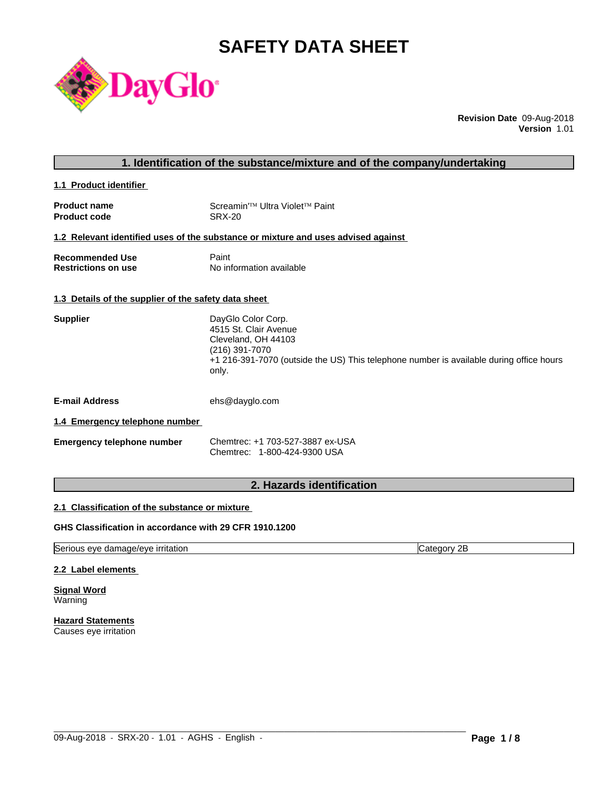# **SAFETY DATA SHEET**



**Revision Date** 09-Aug-2018 **Version** 1.01

**1.1 Product identifier** 

| <b>Product name</b> | Screamin <sup>'™</sup> Ultra Violet <sup>™</sup> Paint |
|---------------------|--------------------------------------------------------|
| <b>Product code</b> | SRX-20                                                 |

# **1.2 Relevant identified uses of the substance or mixture and uses advised against**

| <b>Recommended Use</b>     | Paint                    |
|----------------------------|--------------------------|
| <b>Restrictions on use</b> | No information available |

# **1.3 Details of the supplier of the safety data sheet**

| <b>Supplier</b> | DayGlo Color Corp.                                                                      |
|-----------------|-----------------------------------------------------------------------------------------|
|                 | 4515 St. Clair Avenue                                                                   |
|                 | Cleveland, OH 44103                                                                     |
|                 | (216) 391-7070                                                                          |
|                 | +1 216-391-7070 (outside the US) This telephone number is available during office hours |
|                 | only.                                                                                   |
|                 |                                                                                         |
|                 |                                                                                         |

**E-mail Address** ehs@dayglo.com

# **1.4 Emergency telephone number**

| <b>Emergency telephone number</b> | Chemtrec: +1 703-527-3887 ex-USA |  |  |
|-----------------------------------|----------------------------------|--|--|
|                                   | Chemtrec: 1-800-424-9300 USA     |  |  |

# **2. Hazards identification**

# **2.1 Classification of the substance or mixture**

# **GHS Classification in accordance with 29 CFR 1910.1200**

Serious eye damage/eye irritation contract the contract of category 2B

 $\_$  ,  $\_$  ,  $\_$  ,  $\_$  ,  $\_$  ,  $\_$  ,  $\_$  ,  $\_$  ,  $\_$  ,  $\_$  ,  $\_$  ,  $\_$  ,  $\_$  ,  $\_$  ,  $\_$  ,  $\_$  ,  $\_$  ,  $\_$  ,  $\_$  ,  $\_$  ,  $\_$  ,  $\_$  ,  $\_$  ,  $\_$  ,  $\_$  ,  $\_$  ,  $\_$  ,  $\_$  ,  $\_$  ,  $\_$  ,  $\_$  ,  $\_$  ,  $\_$  ,  $\_$  ,  $\_$  ,  $\_$  ,  $\_$  ,

### **2.2 Label elements**

**Signal Word** Warning

**Hazard Statements** Causes eye irritation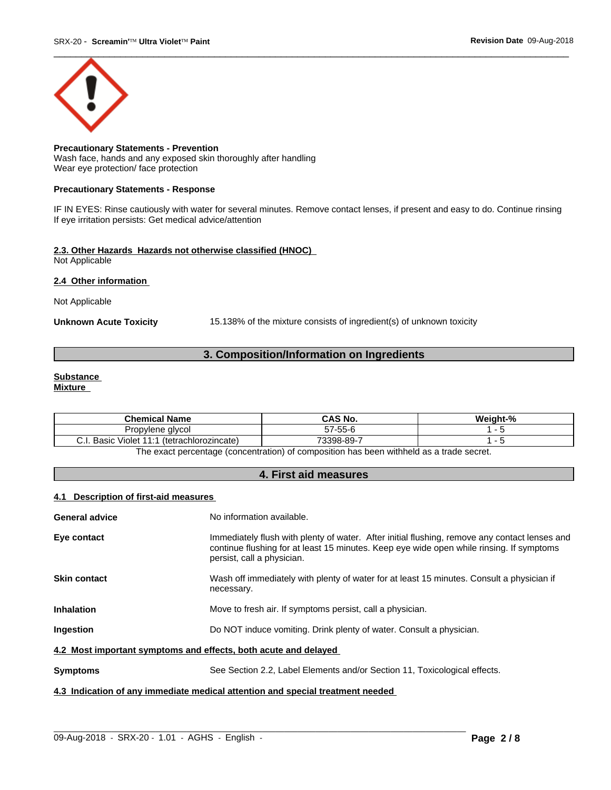

#### **Precautionary Statements - Prevention** Wash face, hands and any exposed skin thoroughly after handling Wear eye protection/ face protection

### **Precautionary Statements - Response**

IF IN EYES: Rinse cautiously with water for several minutes. Remove contact lenses, if present and easy to do. Continue rinsing If eye irritation persists: Get medical advice/attention

# **2.3. Other Hazards Hazards not otherwise classified (HNOC)**

Not Applicable

# **2.4 Other information**

Not Applicable

**Unknown Acute Toxicity** 15.138% of the mixture consists of ingredient(s) of unknown toxicity

# **3. Composition/Information on Ingredients**

# **Substance**

**Mixture**

| <b>Chemical</b><br>Name                                                       | <b>CAS No.</b>             | $\sim$<br>.<br>Weight-% |
|-------------------------------------------------------------------------------|----------------------------|-------------------------|
| Propviene alvcol                                                              | $- - -$<br>$-7$<br>57-55-6 |                         |
| $\cdots$<br>Basic<br><b>A</b> A<br>(tetrachlorozincate)<br>. 4<br>Violet<br>. | 73398-89-                  |                         |

The exact percentage (concentration) of composition has been withheld as a trade secret.

# **4. First aid measures**

# **4.1 Description of first-aid measures**

| General advice                                                                 | No information available.                                                                                                                                                                                               |  |  |  |
|--------------------------------------------------------------------------------|-------------------------------------------------------------------------------------------------------------------------------------------------------------------------------------------------------------------------|--|--|--|
| Eye contact                                                                    | Immediately flush with plenty of water. After initial flushing, remove any contact lenses and<br>continue flushing for at least 15 minutes. Keep eye wide open while rinsing. If symptoms<br>persist, call a physician. |  |  |  |
| Skin contact                                                                   | Wash off immediately with plenty of water for at least 15 minutes. Consult a physician if<br>necessary.                                                                                                                 |  |  |  |
| Inhalation                                                                     | Move to fresh air. If symptoms persist, call a physician.                                                                                                                                                               |  |  |  |
| Ingestion                                                                      | Do NOT induce vomiting. Drink plenty of water. Consult a physician.                                                                                                                                                     |  |  |  |
| 4.2 Most important symptoms and effects, both acute and delayed                |                                                                                                                                                                                                                         |  |  |  |
| Symptoms                                                                       | See Section 2.2, Label Elements and/or Section 11, Toxicological effects.                                                                                                                                               |  |  |  |
| 4.3 Indication of any immediate medical attention and special treatment needed |                                                                                                                                                                                                                         |  |  |  |

 $\_$  ,  $\_$  ,  $\_$  ,  $\_$  ,  $\_$  ,  $\_$  ,  $\_$  ,  $\_$  ,  $\_$  ,  $\_$  ,  $\_$  ,  $\_$  ,  $\_$  ,  $\_$  ,  $\_$  ,  $\_$  ,  $\_$  ,  $\_$  ,  $\_$  ,  $\_$  ,  $\_$  ,  $\_$  ,  $\_$  ,  $\_$  ,  $\_$  ,  $\_$  ,  $\_$  ,  $\_$  ,  $\_$  ,  $\_$  ,  $\_$  ,  $\_$  ,  $\_$  ,  $\_$  ,  $\_$  ,  $\_$  ,  $\_$  ,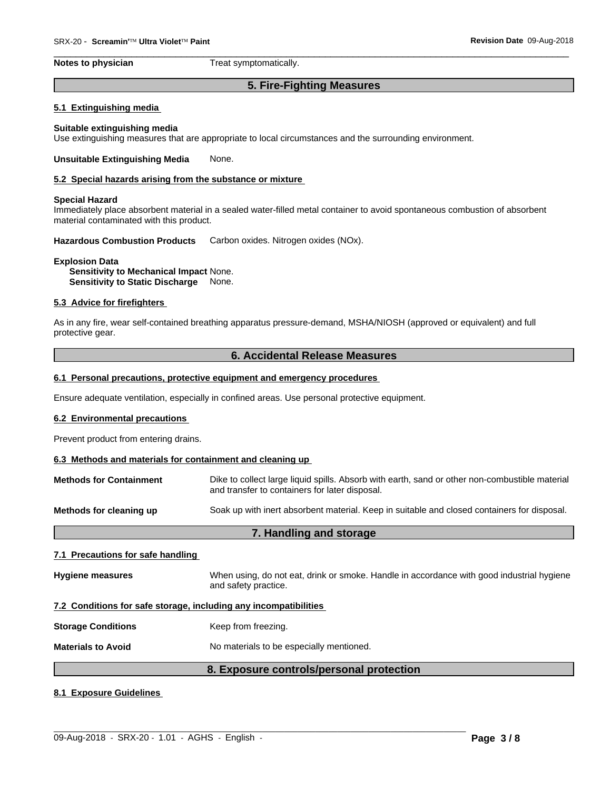**Notes to physician** Treat symptomatically.

# **5. Fire-Fighting Measures**

 $\overline{\phantom{a}}$  ,  $\overline{\phantom{a}}$  ,  $\overline{\phantom{a}}$  ,  $\overline{\phantom{a}}$  ,  $\overline{\phantom{a}}$  ,  $\overline{\phantom{a}}$  ,  $\overline{\phantom{a}}$  ,  $\overline{\phantom{a}}$  ,  $\overline{\phantom{a}}$  ,  $\overline{\phantom{a}}$  ,  $\overline{\phantom{a}}$  ,  $\overline{\phantom{a}}$  ,  $\overline{\phantom{a}}$  ,  $\overline{\phantom{a}}$  ,  $\overline{\phantom{a}}$  ,  $\overline{\phantom{a}}$ 

#### **5.1 Extinguishing media**

#### **Suitable extinguishing media** Use extinguishing measures that are appropriate to local circumstances and the surrounding environment.

#### **Unsuitable Extinguishing Media** None.

#### **5.2 Special hazards arising from the substance or mixture**

#### **Special Hazard**

Immediately place absorbent material in a sealed water-filled metal container to avoid spontaneous combustion of absorbent material contaminated with this product.

**Hazardous Combustion Products** Carbon oxides. Nitrogen oxides (NOx).

#### **Explosion Data**

**Sensitivity to Mechanical Impact** None. **Sensitivity to Static Discharge** None.

### **5.3 Advice for firefighters**

As in any fire, wear self-contained breathing apparatus pressure-demand, MSHA/NIOSH (approved or equivalent) and full protective gear.

#### **6. Accidental Release Measures**

#### **6.1 Personal precautions, protective equipment and emergency procedures**

Ensure adequate ventilation, especially in confined areas. Use personal protective equipment.

### **6.2 Environmental precautions**

Prevent product from entering drains.

#### **6.3 Methods and materials for containment and cleaning up**

| <b>Methods for Containment</b> | Dike to collect large liquid spills. Absorb with earth, sand or other non-combustible material<br>and transfer to containers for later disposal. |
|--------------------------------|--------------------------------------------------------------------------------------------------------------------------------------------------|
| Methods for cleaning up        | Soak up with inert absorbent material. Keep in suitable and closed containers for disposal.                                                      |

# **7. Handling and storage**

#### **7.1 Precautions for safe handling**

**Hygiene measures** When using, do not eat, drink or smoke. Handle in accordance with good industrial hygiene and safety practice.

#### **7.2 Conditions for safe storage, including any incompatibilities**

**Storage Conditions** Keep from freezing.

**Materials to Avoid** No materials to be especially mentioned.

# **8. Exposure controls/personal protection**

 $\_$  ,  $\_$  ,  $\_$  ,  $\_$  ,  $\_$  ,  $\_$  ,  $\_$  ,  $\_$  ,  $\_$  ,  $\_$  ,  $\_$  ,  $\_$  ,  $\_$  ,  $\_$  ,  $\_$  ,  $\_$  ,  $\_$  ,  $\_$  ,  $\_$  ,  $\_$  ,  $\_$  ,  $\_$  ,  $\_$  ,  $\_$  ,  $\_$  ,  $\_$  ,  $\_$  ,  $\_$  ,  $\_$  ,  $\_$  ,  $\_$  ,  $\_$  ,  $\_$  ,  $\_$  ,  $\_$  ,  $\_$  ,  $\_$  ,

#### **8.1 Exposure Guidelines**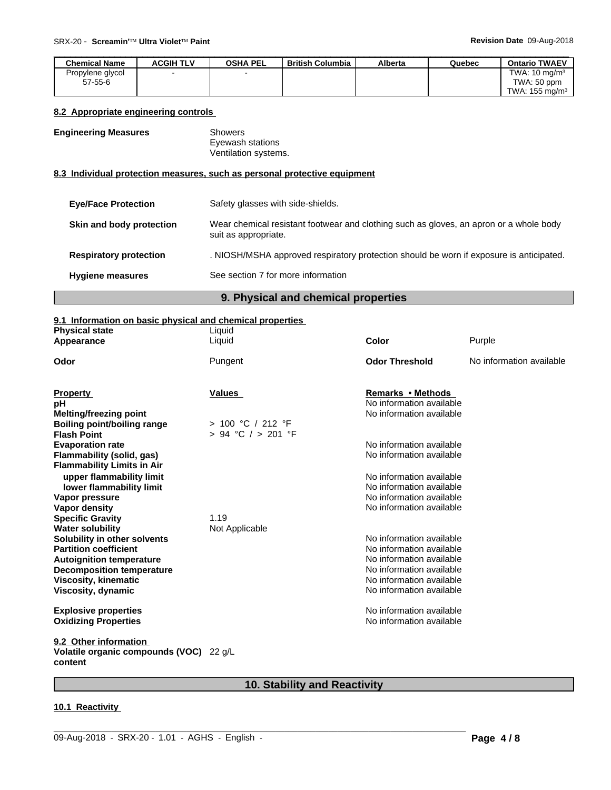| <b>Chemical Name</b> | ACGIH TLV | <b>OSHA PEL</b> | British Columbia | <b>Alberta</b> | Quebec | <b>Ontario TWAEV</b>      |
|----------------------|-----------|-----------------|------------------|----------------|--------|---------------------------|
| Propylene glycol     |           | $\sim$          |                  |                |        | TWA: $10 \text{ mg/m}^3$  |
| $57 - 55 - 6$        |           |                 |                  |                |        | TWA: 50 ppm               |
|                      |           |                 |                  |                |        | TWA: $155 \text{ mg/m}^3$ |

# **8.2 Appropriate engineering controls**

# **Engineering Measures** Showers

Eyewash stations Ventilation systems.

# **8.3 Individual protection measures, such as personal protective equipment**

| <b>Eye/Face Protection</b>    | Safety glasses with side-shields.                                                                              |
|-------------------------------|----------------------------------------------------------------------------------------------------------------|
| Skin and body protection      | Wear chemical resistant footwear and clothing such as gloves, an apron or a whole body<br>suit as appropriate. |
| <b>Respiratory protection</b> | . NIOSH/MSHA approved respiratory protection should be worn if exposure is anticipated.                        |
| <b>Hygiene measures</b>       | See section 7 for more information                                                                             |

# **9. Physical and chemical properties**

# **9.1 Information on basic physical and chemical properties**

| Purple<br>Liquid<br>Color<br>Appearance<br>No information available<br>Pungent<br><b>Odor Threshold</b><br>Odor<br><b>Property</b><br>Values<br>Remarks • Methods<br>No information available<br>рH<br>No information available<br><b>Melting/freezing point</b><br>> 100 °C / 212 °F<br><b>Boiling point/boiling range</b><br>$> 94$ °C $/ > 201$ °F<br><b>Flash Point</b><br>No information available<br><b>Evaporation rate</b><br>No information available<br>Flammability (solid, gas)<br><b>Flammability Limits in Air</b><br>No information available<br>upper flammability limit<br>lower flammability limit<br>No information available<br>No information available<br>Vapor pressure<br>Vapor density<br>No information available<br>1.19<br><b>Specific Gravity</b><br><b>Water solubility</b><br>Not Applicable |
|-----------------------------------------------------------------------------------------------------------------------------------------------------------------------------------------------------------------------------------------------------------------------------------------------------------------------------------------------------------------------------------------------------------------------------------------------------------------------------------------------------------------------------------------------------------------------------------------------------------------------------------------------------------------------------------------------------------------------------------------------------------------------------------------------------------------------------|
|                                                                                                                                                                                                                                                                                                                                                                                                                                                                                                                                                                                                                                                                                                                                                                                                                             |
|                                                                                                                                                                                                                                                                                                                                                                                                                                                                                                                                                                                                                                                                                                                                                                                                                             |
|                                                                                                                                                                                                                                                                                                                                                                                                                                                                                                                                                                                                                                                                                                                                                                                                                             |
|                                                                                                                                                                                                                                                                                                                                                                                                                                                                                                                                                                                                                                                                                                                                                                                                                             |
|                                                                                                                                                                                                                                                                                                                                                                                                                                                                                                                                                                                                                                                                                                                                                                                                                             |
|                                                                                                                                                                                                                                                                                                                                                                                                                                                                                                                                                                                                                                                                                                                                                                                                                             |
|                                                                                                                                                                                                                                                                                                                                                                                                                                                                                                                                                                                                                                                                                                                                                                                                                             |
|                                                                                                                                                                                                                                                                                                                                                                                                                                                                                                                                                                                                                                                                                                                                                                                                                             |
|                                                                                                                                                                                                                                                                                                                                                                                                                                                                                                                                                                                                                                                                                                                                                                                                                             |
|                                                                                                                                                                                                                                                                                                                                                                                                                                                                                                                                                                                                                                                                                                                                                                                                                             |
|                                                                                                                                                                                                                                                                                                                                                                                                                                                                                                                                                                                                                                                                                                                                                                                                                             |
|                                                                                                                                                                                                                                                                                                                                                                                                                                                                                                                                                                                                                                                                                                                                                                                                                             |
|                                                                                                                                                                                                                                                                                                                                                                                                                                                                                                                                                                                                                                                                                                                                                                                                                             |
|                                                                                                                                                                                                                                                                                                                                                                                                                                                                                                                                                                                                                                                                                                                                                                                                                             |
|                                                                                                                                                                                                                                                                                                                                                                                                                                                                                                                                                                                                                                                                                                                                                                                                                             |
|                                                                                                                                                                                                                                                                                                                                                                                                                                                                                                                                                                                                                                                                                                                                                                                                                             |
|                                                                                                                                                                                                                                                                                                                                                                                                                                                                                                                                                                                                                                                                                                                                                                                                                             |
| Solubility in other solvents<br>No information available                                                                                                                                                                                                                                                                                                                                                                                                                                                                                                                                                                                                                                                                                                                                                                    |
| No information available<br><b>Partition coefficient</b>                                                                                                                                                                                                                                                                                                                                                                                                                                                                                                                                                                                                                                                                                                                                                                    |
| No information available<br><b>Autoignition temperature</b>                                                                                                                                                                                                                                                                                                                                                                                                                                                                                                                                                                                                                                                                                                                                                                 |
| No information available<br><b>Decomposition temperature</b>                                                                                                                                                                                                                                                                                                                                                                                                                                                                                                                                                                                                                                                                                                                                                                |
| No information available<br><b>Viscosity, kinematic</b>                                                                                                                                                                                                                                                                                                                                                                                                                                                                                                                                                                                                                                                                                                                                                                     |
| No information available<br>Viscosity, dynamic                                                                                                                                                                                                                                                                                                                                                                                                                                                                                                                                                                                                                                                                                                                                                                              |
| No information available<br><b>Explosive properties</b>                                                                                                                                                                                                                                                                                                                                                                                                                                                                                                                                                                                                                                                                                                                                                                     |
| No information available<br><b>Oxidizing Properties</b>                                                                                                                                                                                                                                                                                                                                                                                                                                                                                                                                                                                                                                                                                                                                                                     |
|                                                                                                                                                                                                                                                                                                                                                                                                                                                                                                                                                                                                                                                                                                                                                                                                                             |
| 9.2 Other information                                                                                                                                                                                                                                                                                                                                                                                                                                                                                                                                                                                                                                                                                                                                                                                                       |
| Volatile organic compounds (VOC) 22 g/L<br>content                                                                                                                                                                                                                                                                                                                                                                                                                                                                                                                                                                                                                                                                                                                                                                          |
|                                                                                                                                                                                                                                                                                                                                                                                                                                                                                                                                                                                                                                                                                                                                                                                                                             |

# **10. Stability and Reactivity**

 $\_$  ,  $\_$  ,  $\_$  ,  $\_$  ,  $\_$  ,  $\_$  ,  $\_$  ,  $\_$  ,  $\_$  ,  $\_$  ,  $\_$  ,  $\_$  ,  $\_$  ,  $\_$  ,  $\_$  ,  $\_$  ,  $\_$  ,  $\_$  ,  $\_$  ,  $\_$  ,  $\_$  ,  $\_$  ,  $\_$  ,  $\_$  ,  $\_$  ,  $\_$  ,  $\_$  ,  $\_$  ,  $\_$  ,  $\_$  ,  $\_$  ,  $\_$  ,  $\_$  ,  $\_$  ,  $\_$  ,  $\_$  ,  $\_$  ,

# **10.1 Reactivity**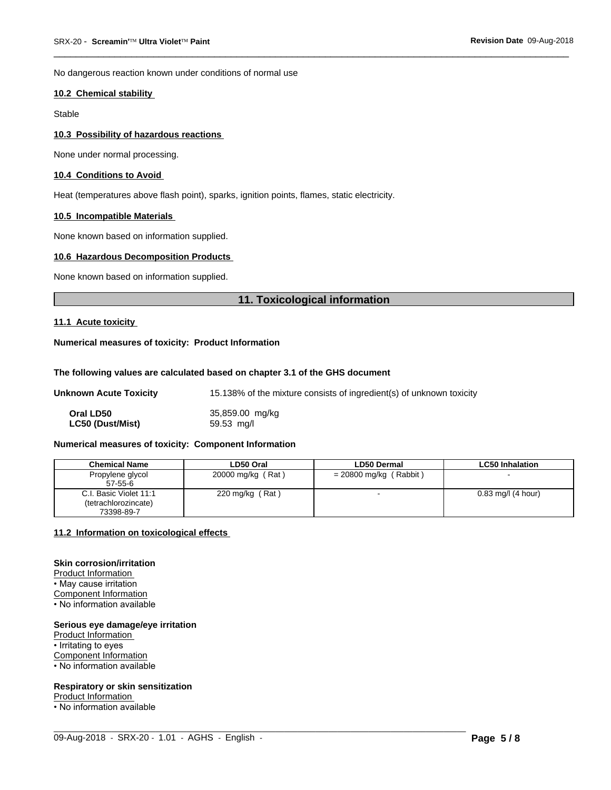No dangerous reaction known under conditions of normal use

#### **10.2 Chemical stability**

Stable

#### **10.3 Possibility of hazardous reactions**

None under normal processing.

#### **10.4 Conditions to Avoid**

Heat (temperatures above flash point), sparks, ignition points, flames, static electricity.

#### **10.5 Incompatible Materials**

None known based on information supplied.

#### **10.6 Hazardous Decomposition Products**

None known based on information supplied.

# **11. Toxicological information**

 $\overline{\phantom{a}}$  ,  $\overline{\phantom{a}}$  ,  $\overline{\phantom{a}}$  ,  $\overline{\phantom{a}}$  ,  $\overline{\phantom{a}}$  ,  $\overline{\phantom{a}}$  ,  $\overline{\phantom{a}}$  ,  $\overline{\phantom{a}}$  ,  $\overline{\phantom{a}}$  ,  $\overline{\phantom{a}}$  ,  $\overline{\phantom{a}}$  ,  $\overline{\phantom{a}}$  ,  $\overline{\phantom{a}}$  ,  $\overline{\phantom{a}}$  ,  $\overline{\phantom{a}}$  ,  $\overline{\phantom{a}}$ 

#### **11.1 Acute toxicity**

#### **Numerical measures of toxicity: Product Information**

#### **The following values are calculated based on chapter 3.1 of the GHS document**

| Unknown Acute Toxicity | 15.138% of the mixture consists of ingredient(s) of unknown toxicity |
|------------------------|----------------------------------------------------------------------|
| Oral LD50              | 35,859.00 mg/kg                                                      |

**LC50 (Dust/Mist)** 59.53 mg/l

# **Numerical measures of toxicity: Component Information**

| <b>Chemical Name</b>   | LD50 Oral                    | <b>LD50 Dermal</b>       | <b>LC50 Inhalation</b> |
|------------------------|------------------------------|--------------------------|------------------------|
| Propylene glycol       | 20000 mg/kg (Rat)            | $= 20800$ mg/kg (Rabbit) |                        |
| $57 - 55 - 6$          |                              |                          |                        |
| C.I. Basic Violet 11:1 | (Rat)<br>$220 \text{ mg/kg}$ | $\overline{\phantom{0}}$ | $0.83$ mg/l (4 hour)   |
| (tetrachlorozincate)   |                              |                          |                        |
| 73398-89-7             |                              |                          |                        |

 $\_$  ,  $\_$  ,  $\_$  ,  $\_$  ,  $\_$  ,  $\_$  ,  $\_$  ,  $\_$  ,  $\_$  ,  $\_$  ,  $\_$  ,  $\_$  ,  $\_$  ,  $\_$  ,  $\_$  ,  $\_$  ,  $\_$  ,  $\_$  ,  $\_$  ,  $\_$  ,  $\_$  ,  $\_$  ,  $\_$  ,  $\_$  ,  $\_$  ,  $\_$  ,  $\_$  ,  $\_$  ,  $\_$  ,  $\_$  ,  $\_$  ,  $\_$  ,  $\_$  ,  $\_$  ,  $\_$  ,  $\_$  ,  $\_$  ,

#### **11.2 Information on toxicologicaleffects**

#### **Skin corrosion/irritation**

Product Information • May cause irritation Component Information

• No information available

#### **Serious eye damage/eye irritation**

Product Information • Irritating to eyes Component Information • No information available

#### **Respiratory or skin sensitization**

**Product Information**<br>• No information available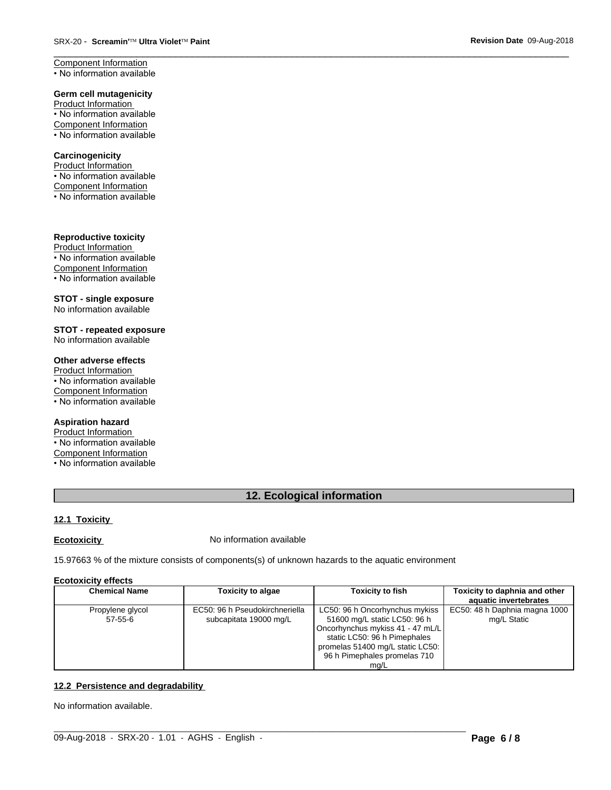Component Information • No information available

#### **Germ cell mutagenicity**

Product Information • No information available Component Information • No information available

# **Carcinogenicity**

Product Information • No information available Component Information • No information available

# **Reproductive toxicity**

Product Information • No information available Component Information • No information available

#### **STOT - single exposure** No information available

**STOT - repeated exposure** No information available

# **Other adverse effects**

Product Information  $\overline{\cdot}$  No information available Component Information • No information available

# **Aspiration hazard**

Product Information • No information available Component Information • No information available

# **12. Ecological information**

 $\overline{\phantom{a}}$  ,  $\overline{\phantom{a}}$  ,  $\overline{\phantom{a}}$  ,  $\overline{\phantom{a}}$  ,  $\overline{\phantom{a}}$  ,  $\overline{\phantom{a}}$  ,  $\overline{\phantom{a}}$  ,  $\overline{\phantom{a}}$  ,  $\overline{\phantom{a}}$  ,  $\overline{\phantom{a}}$  ,  $\overline{\phantom{a}}$  ,  $\overline{\phantom{a}}$  ,  $\overline{\phantom{a}}$  ,  $\overline{\phantom{a}}$  ,  $\overline{\phantom{a}}$  ,  $\overline{\phantom{a}}$ 

# **12.1 Toxicity**

**Ecotoxicity No information available** 

15.97663 % of the mixture consists of components(s) of unknown hazards to the aquatic environment

#### **Ecotoxicity effects**

| <b>Chemical Name</b> | <b>Toxicity to algae</b>       | <b>Toxicity to fish</b>          | Toxicity to daphnia and other |
|----------------------|--------------------------------|----------------------------------|-------------------------------|
|                      |                                |                                  | aquatic invertebrates         |
| Propylene glycol     | EC50: 96 h Pseudokirchneriella | LC50: 96 h Oncorhynchus mykiss   | EC50: 48 h Daphnia magna 1000 |
| 57-55-6              | subcapitata 19000 mg/L         | 51600 mg/L static LC50: 96 h     | mg/L Static                   |
|                      |                                | Oncorhynchus mykiss 41 - 47 mL/L |                               |
|                      |                                | static LC50: 96 h Pimephales     |                               |
|                      |                                | promelas 51400 mg/L static LC50: |                               |
|                      |                                | 96 h Pimephales promelas 710     |                               |
|                      |                                | ma/L                             |                               |

 $\_$  ,  $\_$  ,  $\_$  ,  $\_$  ,  $\_$  ,  $\_$  ,  $\_$  ,  $\_$  ,  $\_$  ,  $\_$  ,  $\_$  ,  $\_$  ,  $\_$  ,  $\_$  ,  $\_$  ,  $\_$  ,  $\_$  ,  $\_$  ,  $\_$  ,  $\_$  ,  $\_$  ,  $\_$  ,  $\_$  ,  $\_$  ,  $\_$  ,  $\_$  ,  $\_$  ,  $\_$  ,  $\_$  ,  $\_$  ,  $\_$  ,  $\_$  ,  $\_$  ,  $\_$  ,  $\_$  ,  $\_$  ,  $\_$  ,

# **12.2 Persistence and degradability**

No information available.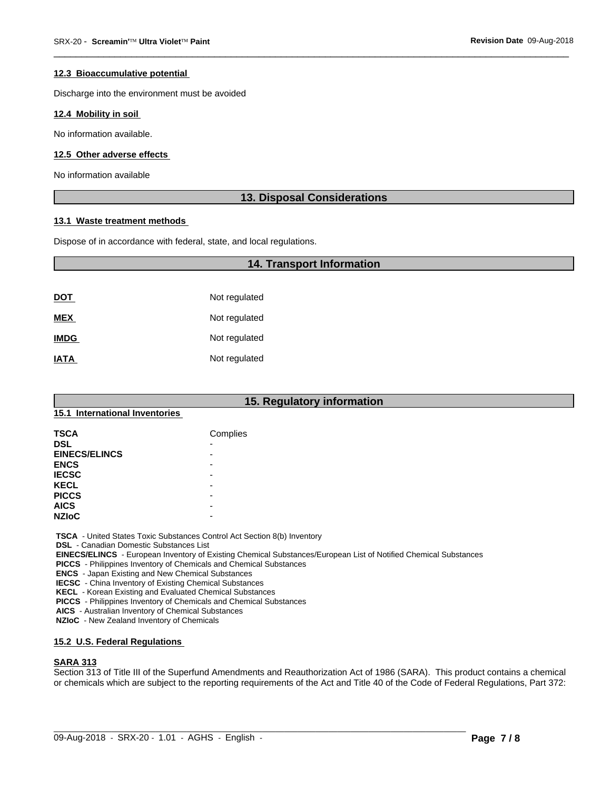#### **12.3 Bioaccumulative potential**

Discharge into the environment must be avoided

#### **12.4 Mobility in soil**

No information available.

#### **12.5 Other adverse effects**

No information available

# **13. Disposal Considerations**

 $\overline{\phantom{a}}$  ,  $\overline{\phantom{a}}$  ,  $\overline{\phantom{a}}$  ,  $\overline{\phantom{a}}$  ,  $\overline{\phantom{a}}$  ,  $\overline{\phantom{a}}$  ,  $\overline{\phantom{a}}$  ,  $\overline{\phantom{a}}$  ,  $\overline{\phantom{a}}$  ,  $\overline{\phantom{a}}$  ,  $\overline{\phantom{a}}$  ,  $\overline{\phantom{a}}$  ,  $\overline{\phantom{a}}$  ,  $\overline{\phantom{a}}$  ,  $\overline{\phantom{a}}$  ,  $\overline{\phantom{a}}$ 

### **13.1 Waste treatment methods**

Dispose of in accordance with federal, state, and local regulations.

|             | <b>14. Transport Information</b> |  |
|-------------|----------------------------------|--|
|             |                                  |  |
| <u>DOT</u>  | Not regulated                    |  |
| <b>MEX</b>  | Not regulated                    |  |
| <b>IMDG</b> | Not regulated                    |  |
| <b>IATA</b> | Not regulated                    |  |

# **15. Regulatory information**

# **15.1 International Inventories**

| <b>TSCA</b>          | Complies |
|----------------------|----------|
| <b>DSL</b>           | -        |
| <b>EINECS/ELINCS</b> | -        |
| <b>ENCS</b>          | -        |
| <b>IECSC</b>         |          |
| <b>KECL</b>          | -        |
| <b>PICCS</b>         |          |
| <b>AICS</b>          | -        |
| <b>NZIoC</b>         | -        |

 **TSCA** - United States Toxic Substances Control Act Section 8(b) Inventory

 **DSL** - Canadian Domestic Substances List

 **EINECS/ELINCS** - European Inventory of Existing Chemical Substances/European List of Notified Chemical Substances

 **PICCS** - Philippines Inventory of Chemicals and Chemical Substances

 **ENCS** - Japan Existing and New Chemical Substances

 **IECSC** - China Inventory of Existing Chemical Substances

 **KECL** - Korean Existing and Evaluated Chemical Substances

 **PICCS** - Philippines Inventory of Chemicals and Chemical Substances

 **AICS** - Australian Inventory of Chemical Substances

 **NZIoC** - New Zealand Inventory of Chemicals

#### **15.2 U.S. Federal Regulations**

#### **SARA 313**

Section 313 of Title III of the Superfund Amendments and Reauthorization Act of 1986 (SARA). This product contains a chemical or chemicals which are subject to the reporting requirements of the Act and Title 40 of the Code of Federal Regulations, Part 372:

 $\_$  ,  $\_$  ,  $\_$  ,  $\_$  ,  $\_$  ,  $\_$  ,  $\_$  ,  $\_$  ,  $\_$  ,  $\_$  ,  $\_$  ,  $\_$  ,  $\_$  ,  $\_$  ,  $\_$  ,  $\_$  ,  $\_$  ,  $\_$  ,  $\_$  ,  $\_$  ,  $\_$  ,  $\_$  ,  $\_$  ,  $\_$  ,  $\_$  ,  $\_$  ,  $\_$  ,  $\_$  ,  $\_$  ,  $\_$  ,  $\_$  ,  $\_$  ,  $\_$  ,  $\_$  ,  $\_$  ,  $\_$  ,  $\_$  ,